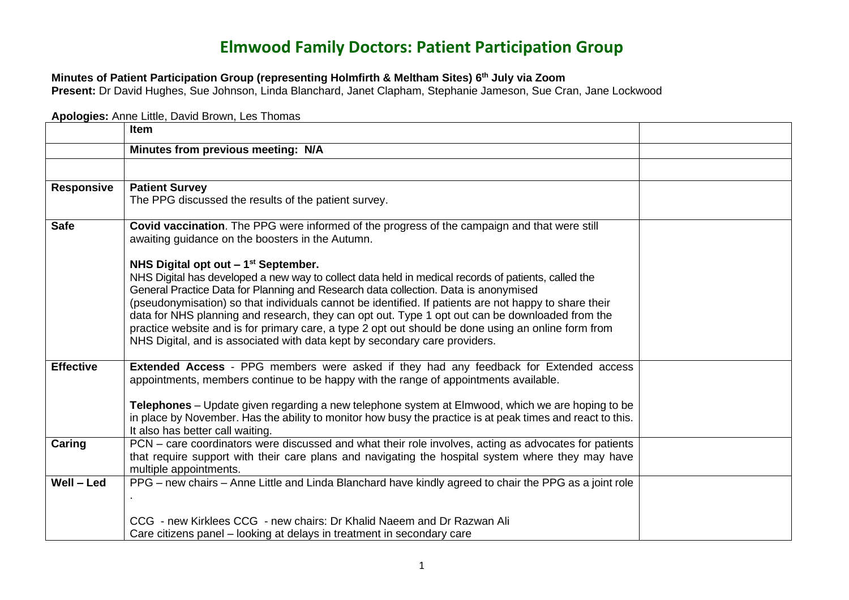## **Elmwood Family Doctors: Patient Participation Group**

## **Minutes of Patient Participation Group (representing Holmfirth & Meltham Sites) 6 th July via Zoom**

**Present:** Dr David Hughes, Sue Johnson, Linda Blanchard, Janet Clapham, Stephanie Jameson, Sue Cran, Jane Lockwood

## **Apologies:** Anne Little, David Brown, Les Thomas

|                   | Item                                                                                                                                                                                                                                                                                                                                                                                                                                                                                 |  |
|-------------------|--------------------------------------------------------------------------------------------------------------------------------------------------------------------------------------------------------------------------------------------------------------------------------------------------------------------------------------------------------------------------------------------------------------------------------------------------------------------------------------|--|
|                   | Minutes from previous meeting: N/A                                                                                                                                                                                                                                                                                                                                                                                                                                                   |  |
|                   |                                                                                                                                                                                                                                                                                                                                                                                                                                                                                      |  |
| <b>Responsive</b> | <b>Patient Survey</b><br>The PPG discussed the results of the patient survey.                                                                                                                                                                                                                                                                                                                                                                                                        |  |
| <b>Safe</b>       | Covid vaccination. The PPG were informed of the progress of the campaign and that were still<br>awaiting guidance on the boosters in the Autumn.<br>NHS Digital opt out $-1st$ September.<br>NHS Digital has developed a new way to collect data held in medical records of patients, called the                                                                                                                                                                                     |  |
|                   | General Practice Data for Planning and Research data collection. Data is anonymised<br>(pseudonymisation) so that individuals cannot be identified. If patients are not happy to share their<br>data for NHS planning and research, they can opt out. Type 1 opt out can be downloaded from the<br>practice website and is for primary care, a type 2 opt out should be done using an online form from<br>NHS Digital, and is associated with data kept by secondary care providers. |  |
| <b>Effective</b>  | Extended Access - PPG members were asked if they had any feedback for Extended access<br>appointments, members continue to be happy with the range of appointments available.<br><b>Telephones</b> – Update given regarding a new telephone system at Elmwood, which we are hoping to be<br>in place by November. Has the ability to monitor how busy the practice is at peak times and react to this.<br>It also has better call waiting.                                           |  |
| Caring            | PCN – care coordinators were discussed and what their role involves, acting as advocates for patients<br>that require support with their care plans and navigating the hospital system where they may have<br>multiple appointments.                                                                                                                                                                                                                                                 |  |
| Well - Led        | PPG – new chairs – Anne Little and Linda Blanchard have kindly agreed to chair the PPG as a joint role                                                                                                                                                                                                                                                                                                                                                                               |  |
|                   | CCG - new Kirklees CCG - new chairs: Dr Khalid Naeem and Dr Razwan Ali<br>Care citizens panel – looking at delays in treatment in secondary care                                                                                                                                                                                                                                                                                                                                     |  |